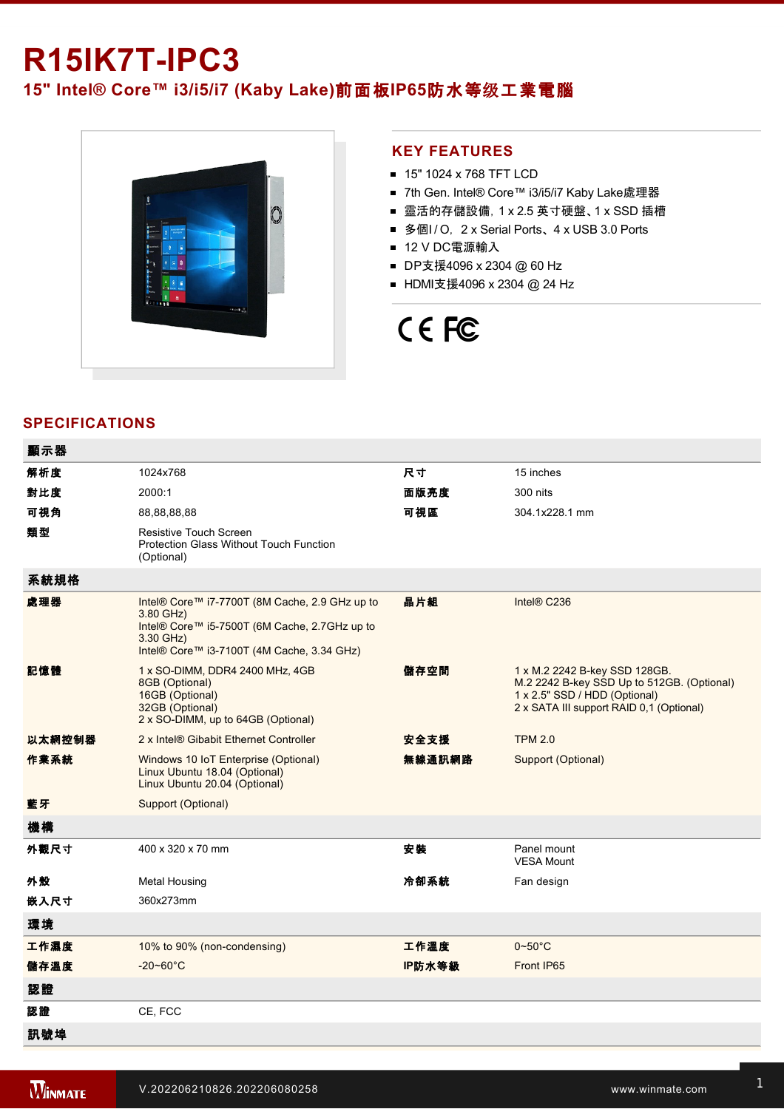## **R15IK7TIPC3**

### **15" Intel® Core™ i3/i5/i7 (Kaby Lake)**前面板**IP65**防水等级工業電腦



#### **KEY FEATURES**

- 15" 1024 x 768 TFT LCD
- 7th Gen. Intel® Core™ i3/i5/i7 Kaby Lake處理器
- 靈活的存儲設備, 1 x 2.5 英寸硬盤、1 x SSD 插槽
- 多個I / O, 2 x Serial Ports、 4 x USB 3.0 Ports
- 12 V DC電源輸入
- DP支援4096 x 2304 @ 60 Hz
- HDMI支援4096 x 2304 @ 24 Hz

# CE FC

### **SPECIFICATIONS**

| 顯示器    |                                                                                                                                                                         |        |                                                                                                                                                          |
|--------|-------------------------------------------------------------------------------------------------------------------------------------------------------------------------|--------|----------------------------------------------------------------------------------------------------------------------------------------------------------|
| 解析度    | 1024x768                                                                                                                                                                | 尺寸     | 15 inches                                                                                                                                                |
| 對比度    | 2000:1                                                                                                                                                                  | 面版亮度   | 300 nits                                                                                                                                                 |
| 可視角    | 88,88,88,88                                                                                                                                                             | 可視區    | 304.1x228.1 mm                                                                                                                                           |
| 類型     | <b>Resistive Touch Screen</b><br>Protection Glass Without Touch Function<br>(Optional)                                                                                  |        |                                                                                                                                                          |
| 系統規格   |                                                                                                                                                                         |        |                                                                                                                                                          |
| 處理器    | Intel® Core™ i7-7700T (8M Cache, 2.9 GHz up to<br>3.80 GHz)<br>Intel® Core™ i5-7500T (6M Cache, 2.7GHz up to<br>3.30 GHz)<br>Intel® Core™ i3-7100T (4M Cache, 3.34 GHz) | 晶片組    | Intel® C236                                                                                                                                              |
| 記憶體    | 1 x SO-DIMM, DDR4 2400 MHz, 4GB<br>8GB (Optional)<br>16GB (Optional)<br>32GB (Optional)<br>2 x SO-DIMM, up to 64GB (Optional)                                           | 儲存空間   | 1 x M.2 2242 B-key SSD 128GB.<br>M.2 2242 B-key SSD Up to 512GB. (Optional)<br>1 x 2.5" SSD / HDD (Optional)<br>2 x SATA III support RAID 0,1 (Optional) |
| 以太網控制器 | 2 x Intel® Gibabit Ethernet Controller                                                                                                                                  | 安全支援   | <b>TPM 2.0</b>                                                                                                                                           |
| 作業系統   | Windows 10 IoT Enterprise (Optional)<br>Linux Ubuntu 18.04 (Optional)<br>Linux Ubuntu 20.04 (Optional)                                                                  | 無線通訊網路 | Support (Optional)                                                                                                                                       |
| 藍牙     | Support (Optional)                                                                                                                                                      |        |                                                                                                                                                          |
| 機構     |                                                                                                                                                                         |        |                                                                                                                                                          |
| 外觀尺寸   | 400 x 320 x 70 mm                                                                                                                                                       | 安装     | Panel mount<br><b>VESA Mount</b>                                                                                                                         |
| 外殼     | <b>Metal Housing</b>                                                                                                                                                    | 冷卻系統   | Fan design                                                                                                                                               |
| 嵌入尺寸   | 360x273mm                                                                                                                                                               |        |                                                                                                                                                          |
| 環境     |                                                                                                                                                                         |        |                                                                                                                                                          |
| 工作濕度   | 10% to 90% (non-condensing)                                                                                                                                             | 工作溫度   | $0 - 50^{\circ}$ C                                                                                                                                       |
| 儲存溫度   | $-20 - 60^{\circ}$ C                                                                                                                                                    | IP防水等級 | Front IP65                                                                                                                                               |
| 認證     |                                                                                                                                                                         |        |                                                                                                                                                          |
| 認證     | CE, FCC                                                                                                                                                                 |        |                                                                                                                                                          |
| 訊號埠    |                                                                                                                                                                         |        |                                                                                                                                                          |

and the state of the state of the state of the state of the state of the state of the state of the state of th

 $\mathcal{L}^2$  and  $\mathcal{L}^2$  is  $\mathcal{L}^2$  for  $\mathcal{L}^2$  for  $\mathcal{L}^2$  for  $\mathcal{L}^2$  for  $\mathcal{L}^2$  for  $\mathcal{L}^2$  for  $\mathcal{L}^2$  for  $\mathcal{L}^2$